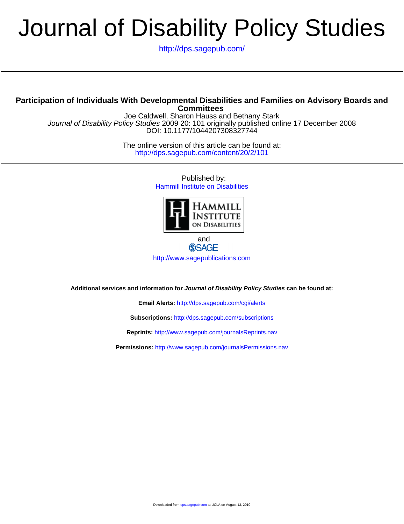# Journal of Disability Policy Studies

<http://dps.sagepub.com/>

### **Committees Participation of Individuals With Developmental Disabilities and Families on Advisory Boards and**

DOI: 10.1177/1044207308327744 Journal of Disability Policy Studies 2009 20: 101 originally published online 17 December 2008 Joe Caldwell, Sharon Hauss and Bethany Stark

> <http://dps.sagepub.com/content/20/2/101> The online version of this article can be found at:

> > Published by: [Hammill Institute on Disabilities](http://www.hammill-institute.org/)



and<br>SAGE® <http://www.sagepublications.com>

**Additional services and information for Journal of Disability Policy Studies can be found at:**

**Email Alerts:** <http://dps.sagepub.com/cgi/alerts>

**Subscriptions:** <http://dps.sagepub.com/subscriptions>

**Reprints:** <http://www.sagepub.com/journalsReprints.nav>

**Permissions:** <http://www.sagepub.com/journalsPermissions.nav>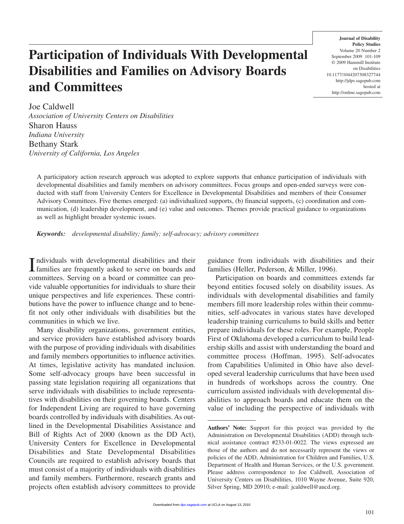# **Participation of Individuals With Developmental Disabilities and Families on Advisory Boards and Committees**

**Journal of Disability Policy Studies** Volume 20 Number 2 September 2009 101-109 © 2009 Hammill Institute on Disabilities 10.1177/1044207308327744 http://jdps.sagepub.com hosted at http://online.sagepub.com

Joe Caldwell

*Association of University Centers on Disabilities* Sharon Hauss *Indiana University* Bethany Stark *University of California, Los Angeles*

A participatory action research approach was adopted to explore supports that enhance participation of individuals with developmental disabilities and family members on advisory committees. Focus groups and open-ended surveys were conducted with staff from University Centers for Excellence in Developmental Disabilities and members of their Consumer Advisory Committees. Five themes emerged: (a) individualized supports, (b) financial supports, (c) coordination and communication, (d) leadership development, and (e) value and outcomes. Themes provide practical guidance to organizations as well as highlight broader systemic issues.

*Keywords: developmental disability; family; self-advocacy; advisory committees*

Individuals with developmental disabilities and their<br>families are frequently asked to serve on boards and families are frequently asked to serve on boards and committees. Serving on a board or committee can provide valuable opportunities for individuals to share their unique perspectives and life experiences. These contributions have the power to influence change and to benefit not only other individuals with disabilities but the communities in which we live.

Many disability organizations, government entities, and service providers have established advisory boards with the purpose of providing individuals with disabilities and family members opportunities to influence activities. At times, legislative activity has mandated inclusion. Some self-advocacy groups have been successful in passing state legislation requiring all organizations that serve individuals with disabilities to include representatives with disabilities on their governing boards. Centers for Independent Living are required to have governing boards controlled by individuals with disabilities. As outlined in the Developmental Disabilities Assistance and Bill of Rights Act of 2000 (known as the DD Act), University Centers for Excellence in Developmental Disabilities and State Developmental Disabilities Councils are required to establish advisory boards that must consist of a majority of individuals with disabilities and family members. Furthermore, research grants and projects often establish advisory committees to provide guidance from individuals with disabilities and their families (Heller, Pederson, & Miller, 1996).

Participation on boards and committees extends far beyond entities focused solely on disability issues. As individuals with developmental disabilities and family members fill more leadership roles within their communities, self-advocates in various states have developed leadership training curriculums to build skills and better prepare individuals for these roles. For example, People First of Oklahoma developed a curriculum to build leadership skills and assist with understanding the board and committee process (Hoffman, 1995). Self-advocates from Capabilities Unlimited in Ohio have also developed several leadership curriculums that have been used in hundreds of workshops across the country. One curriculum assisted individuals with developmental disabilities to approach boards and educate them on the value of including the perspective of individuals with

**Authors' Note:** Support for this project was provided by the Administration on Developmental Disabilities (ADD) through technical assistance contract #233-01-0022. The views expressed are those of the authors and do not necessarily represent the views or policies of the ADD, Administration for Children and Families, U.S. Department of Health and Human Services, or the U.S. government. Please address correspondence to Joe Caldwell, Association of University Centers on Disabilities, 1010 Wayne Avenue, Suite 920, Silver Spring, MD 20910; e-mail: jcaldwell@aucd.org.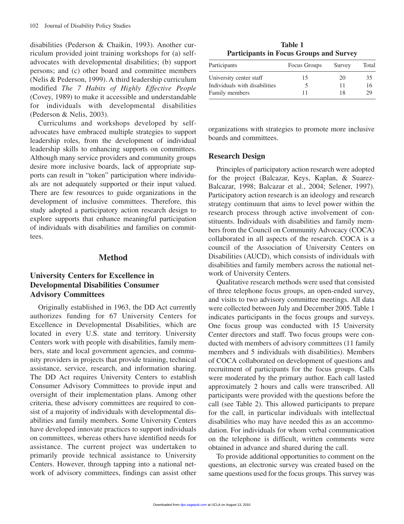disabilities (Pederson & Chaikin, 1993). Another curriculum provided joint training workshops for (a) selfadvocates with developmental disabilities; (b) support persons; and (c) other board and committee members (Nelis & Pederson, 1999). A third leadership curriculum modified *The 7 Habits of Highly Effective People* (Covey, 1989) to make it accessible and understandable for individuals with developmental disabilities (Pederson & Nelis, 2003).

Curriculums and workshops developed by selfadvocates have embraced multiple strategies to support leadership roles, from the development of individual leadership skills to enhancing supports on committees. Although many service providers and community groups desire more inclusive boards, lack of appropriate supports can result in "token" participation where individuals are not adequately supported or their input valued. There are few resources to guide organizations in the development of inclusive committees. Therefore, this study adopted a participatory action research design to explore supports that enhance meaningful participation of individuals with disabilities and families on committees.

#### **Method**

# **University Centers for Excellence in Developmental Disabilities Consumer Advisory Committees**

Originally established in 1963, the DD Act currently authorizes funding for 67 University Centers for Excellence in Developmental Disabilities, which are located in every U.S. state and territory. University Centers work with people with disabilities, family members, state and local government agencies, and community providers in projects that provide training, technical assistance, service, research, and information sharing. The DD Act requires University Centers to establish Consumer Advisory Committees to provide input and oversight of their implementation plans. Among other criteria, these advisory committees are required to consist of a majority of individuals with developmental disabilities and family members. Some University Centers have developed innovate practices to support individuals on committees, whereas others have identified needs for assistance. The current project was undertaken to primarily provide technical assistance to University Centers. However, through tapping into a national network of advisory committees, findings can assist other

**Table 1 Participants in Focus Groups and Survey**

| Participants                  | Focus Groups | Survey | Total |
|-------------------------------|--------------|--------|-------|
| University center staff       | 15           | 20     | 35    |
| Individuals with disabilities |              | 11     | 16    |
| Family members                |              | 18     | 29    |

organizations with strategies to promote more inclusive boards and committees.

#### **Research Design**

Principles of participatory action research were adopted for the project (Balcazar, Keys, Kaplan, & Suarez-Balcazar, 1998; Balcazar et al., 2004; Selener, 1997). Participatory action research is an ideology and research strategy continuum that aims to level power within the research process through active involvement of constituents. Individuals with disabilities and family members from the Council on Community Advocacy (COCA) collaborated in all aspects of the research. COCA is a council of the Association of University Centers on Disabilities (AUCD), which consists of individuals with disabilities and family members across the national network of University Centers.

Qualitative research methods were used that consisted of three telephone focus groups, an open-ended survey, and visits to two advisory committee meetings. All data were collected between July and December 2005. Table 1 indicates participants in the focus groups and surveys. One focus group was conducted with 15 University Center directors and staff. Two focus groups were conducted with members of advisory committees (11 family members and 5 individuals with disabilities). Members of COCA collaborated on development of questions and recruitment of participants for the focus groups. Calls were moderated by the primary author. Each call lasted approximately 2 hours and calls were transcribed. All participants were provided with the questions before the call (see Table 2). This allowed participants to prepare for the call, in particular individuals with intellectual disabilities who may have needed this as an accommodation. For individuals for whom verbal communication on the telephone is difficult, written comments were obtained in advance and shared during the call.

To provide additional opportunities to comment on the questions, an electronic survey was created based on the same questions used for the focus groups. This survey was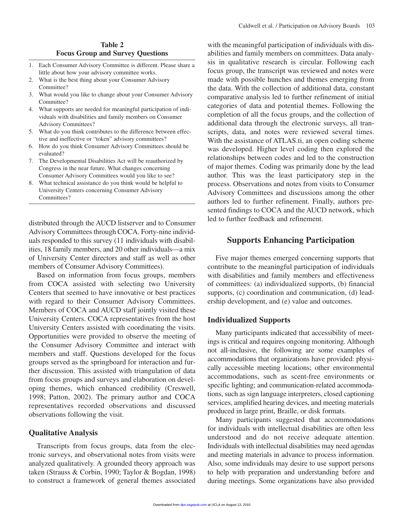# **Table 2 Focus Group and Survey Questions**

- 1. Each Consumer Advisory Committee is different. Please share a little about how your advisory committee works.
- 2. What is the best thing about your Consumer Advisory Committee?
- 3. What would you like to change about your Consumer Advisory Committee?
- 4. What supports are needed for meaningful participation of individuals with disabilities and family members on Consumer Advisory Committees?
- 5. What do you think contributes to the difference between effective and ineffective or "token" advisory committees?
- 6. How do you think Consumer Advisory Committees should be evaluated?
- 7. The Developmental Disabilities Act will be reauthorized by Congress in the near future. What changes concerning Consumer Advisory Committees would you like to see?
- 8. What technical assistance do you think would be helpful to University Centers concerning Consumer Advisory Committees?

distributed through the AUCD listserver and to Consumer Advisory Committees through COCA. Forty-nine individuals responded to this survey (11 individuals with disabilities, 18 family members, and 20 other individuals—a mix of University Center directors and staff as well as other members of Consumer Advisory Committees).

Based on information from focus groups, members from COCA assisted with selecting two University Centers that seemed to have innovative or best practices with regard to their Consumer Advisory Committees. Members of COCA and AUCD staff jointly visited these University Centers. COCA representatives from the host University Centers assisted with coordinating the visits. Opportunities were provided to observe the meeting of the Consumer Advisory Committee and interact with members and staff. Questions developed for the focus groups served as the springboard for interaction and further discussion. This assisted with triangulation of data from focus groups and surveys and elaboration on developing themes, which enhanced credibility (Creswell, 1998; Patton, 2002). The primary author and COCA representatives recorded observations and discussed observations following the visit.

#### **Qualitative Analysis**

Transcripts from focus groups, data from the electronic surveys, and observational notes from visits were analyzed qualitatively. A grounded theory approach was taken (Strauss & Corbin, 1990; Taylor & Bogdan, 1998) to construct a framework of general themes associated with the meaningful participation of individuals with disabilities and family members on committees. Data analysis in qualitative research is circular. Following each focus group, the transcript was reviewed and notes were made with possible hunches and themes emerging from the data. With the collection of additional data, constant comparative analysis led to further refinement of initial categories of data and potential themes. Following the completion of all the focus groups, and the collection of additional data through the electronic surveys, all transcripts, data, and notes were reviewed several times. With the assistance of ATLAS.ti, an open coding scheme was developed. Higher level coding then explored the relationships between codes and led to the construction of major themes. Coding was primarily done by the lead author. This was the least participatory step in the process. Observations and notes from visits to Consumer Advisory Committees and discussions among the other authors led to further refinement. Finally, authors presented findings to COCA and the AUCD network, which led to further feedback and refinement.

# **Supports Enhancing Participation**

Five major themes emerged concerning supports that contribute to the meaningful participation of individuals with disabilities and family members and effectiveness of committees: (a) individualized supports, (b) financial supports, (c) coordination and communication, (d) leadership development, and (e) value and outcomes.

#### **Individualized Supports**

Many participants indicated that accessibility of meetings is critical and requires ongoing monitoring. Although not all-inclusive, the following are some examples of accommodations that organizations have provided: physically accessible meeting locations; other environmental accommodations, such as scent-free environments or specific lighting; and communication-related accommodations, such as sign language interpreters, closed captioning services, amplified hearing devices, and meeting materials produced in large print, Braille, or disk formats.

Many participants suggested that accommodations for individuals with intellectual disabilities are often less understood and do not receive adequate attention. Individuals with intellectual disabilities may need agendas and meeting materials in advance to process information. Also, some individuals may desire to use support persons to help with preparation and understanding before and during meetings. Some organizations have also provided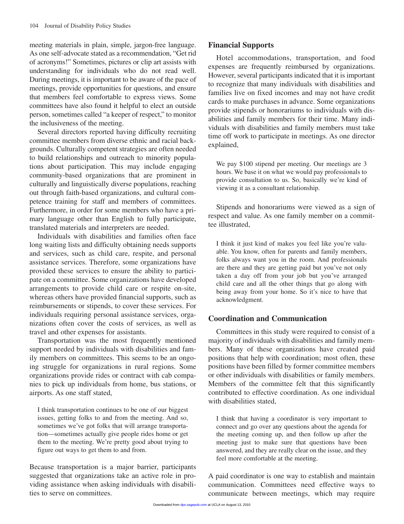meeting materials in plain, simple, jargon-free language. As one self-advocate stated as a recommendation, "Get rid of acronyms!" Sometimes, pictures or clip art assists with understanding for individuals who do not read well. During meetings, it is important to be aware of the pace of meetings, provide opportunities for questions, and ensure that members feel comfortable to express views. Some committees have also found it helpful to elect an outside person, sometimes called "a keeper of respect," to monitor the inclusiveness of the meeting.

Several directors reported having difficulty recruiting committee members from diverse ethnic and racial backgrounds. Culturally competent strategies are often needed to build relationships and outreach to minority populations about participation. This may include engaging community-based organizations that are prominent in culturally and linguistically diverse populations, reaching out through faith-based organizations, and cultural competence training for staff and members of committees. Furthermore, in order for some members who have a primary language other than English to fully participate, translated materials and interpreters are needed.

Individuals with disabilities and families often face long waiting lists and difficulty obtaining needs supports and services, such as child care, respite, and personal assistance services. Therefore, some organizations have provided these services to ensure the ability to participate on a committee. Some organizations have developed arrangements to provide child care or respite on-site, whereas others have provided financial supports, such as reimbursements or stipends, to cover these services. For individuals requiring personal assistance services, organizations often cover the costs of services, as well as travel and other expenses for assistants.

Transportation was the most frequently mentioned support needed by individuals with disabilities and family members on committees. This seems to be an ongoing struggle for organizations in rural regions. Some organizations provide rides or contract with cab companies to pick up individuals from home, bus stations, or airports. As one staff stated,

I think transportation continues to be one of our biggest issues, getting folks to and from the meeting. And so, sometimes we've got folks that will arrange transportation—sometimes actually give people rides home or get them to the meeting. We're pretty good about trying to figure out ways to get them to and from.

Because transportation is a major barrier, participants suggested that organizations take an active role in providing assistance when asking individuals with disabilities to serve on committees.

# **Financial Supports**

Hotel accommodations, transportation, and food expenses are frequently reimbursed by organizations. However, several participants indicated that it is important to recognize that many individuals with disabilities and families live on fixed incomes and may not have credit cards to make purchases in advance. Some organizations provide stipends or honorariums to individuals with disabilities and family members for their time. Many individuals with disabilities and family members must take time off work to participate in meetings. As one director explained,

We pay \$100 stipend per meeting. Our meetings are 3 hours. We base it on what we would pay professionals to provide consultation to us. So, basically we're kind of viewing it as a consultant relationship.

Stipends and honorariums were viewed as a sign of respect and value. As one family member on a committee illustrated,

I think it just kind of makes you feel like you're valuable. You know, often for parents and family members, folks always want you in the room. And professionals are there and they are getting paid but you've not only taken a day off from your job but you've arranged child care and all the other things that go along with being away from your home. So it's nice to have that acknowledgment.

# **Coordination and Communication**

Committees in this study were required to consist of a majority of individuals with disabilities and family members. Many of these organizations have created paid positions that help with coordination; most often, these positions have been filled by former committee members or other individuals with disabilities or family members. Members of the committee felt that this significantly contributed to effective coordination. As one individual with disabilities stated,

I think that having a coordinator is very important to connect and go over any questions about the agenda for the meeting coming up, and then follow up after the meeting just to make sure that questions have been answered, and they are really clear on the issue, and they feel more comfortable at the meeting.

A paid coordinator is one way to establish and maintain communication. Committees need effective ways to communicate between meetings, which may require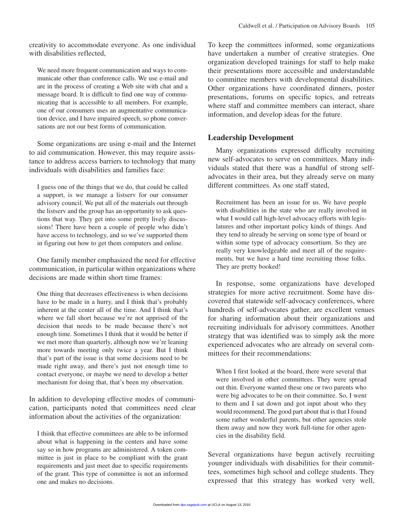creativity to accommodate everyone. As one individual with disabilities reflected,

We need more frequent communication and ways to communicate other than conference calls. We use e-mail and are in the process of creating a Web site with chat and a message board. It is difficult to find one way of communicating that is accessible to all members. For example, one of our consumers uses an augmentative communication device, and I have impaired speech, so phone conversations are not our best forms of communication.

Some organizations are using e-mail and the Internet to aid communication. However, this may require assistance to address access barriers to technology that many individuals with disabilities and families face:

I guess one of the things that we do, that could be called a support, is we manage a listserv for our consumer advisory council. We put all of the materials out through the listserv and the group has an opportunity to ask questions that way. They get into some pretty lively discussions! There have been a couple of people who didn't have access to technology, and so we've supported them in figuring out how to get them computers and online.

One family member emphasized the need for effective communication, in particular within organizations where decisions are made within short time frames:

One thing that decreases effectiveness is when decisions have to be made in a hurry, and I think that's probably inherent at the center all of the time. And I think that's where we fall short because we're not apprised of the decision that needs to be made because there's not enough time. Sometimes I think that it would be better if we met more than quarterly, although now we're leaning more towards meeting only twice a year. But I think that's part of the issue is that some decisions need to be made right away, and there's just not enough time to contact everyone, or maybe we need to develop a better mechanism for doing that, that's been my observation.

In addition to developing effective modes of communication, participants noted that committees need clear information about the activities of the organization:

I think that effective committees are able to be informed about what is happening in the centers and have some say so in how programs are administered. A token committee is just in place to be compliant with the grant requirements and just meet due to specific requirements of the grant. This type of committee is not an informed one and makes no decisions.

To keep the committees informed, some organizations have undertaken a number of creative strategies. One organization developed trainings for staff to help make their presentations more accessible and understandable to committee members with developmental disabilities. Other organizations have coordinated dinners, poster presentations, forums on specific topics, and retreats where staff and committee members can interact, share information, and develop ideas for the future.

#### **Leadership Development**

Many organizations expressed difficulty recruiting new self-advocates to serve on committees. Many individuals stated that there was a handful of strong selfadvocates in their area, but they already serve on many different committees. As one staff stated,

Recruitment has been an issue for us. We have people with disabilities in the state who are really involved in what I would call high-level advocacy efforts with legislatures and other important policy kinds of things. And they tend to already be serving on some type of board or within some type of advocacy consortium. So they are really very knowledgeable and meet all of the requirements, but we have a hard time recruiting those folks. They are pretty booked!

In response, some organizations have developed strategies for more active recruitment. Some have discovered that statewide self-advocacy conferences, where hundreds of self-advocates gather, are excellent venues for sharing information about their organizations and recruiting individuals for advisory committees. Another strategy that was identified was to simply ask the more experienced advocates who are already on several committees for their recommendations:

When I first looked at the board, there were several that were involved in other committees. They were spread out thin. Everyone wanted these one or two parents who were big advocates to be on their committee. So, I went to them and I sat down and got input about who they would recommend. The good part about that is that I found some rather wonderful parents, but other agencies stole them away and now they work full-time for other agencies in the disability field.

Several organizations have begun actively recruiting younger individuals with disabilities for their committees, sometimes high school and college students. They expressed that this strategy has worked very well,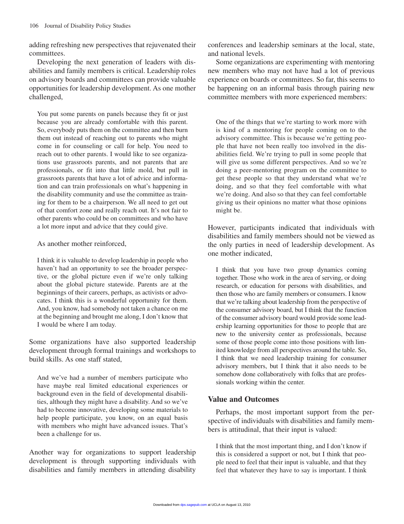adding refreshing new perspectives that rejuvenated their committees.

Developing the next generation of leaders with disabilities and family members is critical. Leadership roles on advisory boards and committees can provide valuable opportunities for leadership development. As one mother challenged,

You put some parents on panels because they fit or just because you are already comfortable with this parent. So, everybody puts them on the committee and then burn them out instead of reaching out to parents who might come in for counseling or call for help. You need to reach out to other parents. I would like to see organizations use grassroots parents, and not parents that are professionals, or fit into that little mold, but pull in grassroots parents that have a lot of advice and information and can train professionals on what's happening in the disability community and use the committee as training for them to be a chairperson. We all need to get out of that comfort zone and really reach out. It's not fair to other parents who could be on committees and who have a lot more input and advice that they could give.

As another mother reinforced,

I think it is valuable to develop leadership in people who haven't had an opportunity to see the broader perspective, or the global picture even if we're only talking about the global picture statewide. Parents are at the beginnings of their careers, perhaps, as activists or advocates. I think this is a wonderful opportunity for them. And, you know, had somebody not taken a chance on me at the beginning and brought me along, I don't know that I would be where I am today.

Some organizations have also supported leadership development through formal trainings and workshops to build skills. As one staff stated,

And we've had a number of members participate who have maybe real limited educational experiences or background even in the field of developmental disabilities, although they might have a disability. And so we've had to become innovative, developing some materials to help people participate, you know, on an equal basis with members who might have advanced issues. That's been a challenge for us.

Another way for organizations to support leadership development is through supporting individuals with disabilities and family members in attending disability

conferences and leadership seminars at the local, state, and national levels.

Some organizations are experimenting with mentoring new members who may not have had a lot of previous experience on boards or committees. So far, this seems to be happening on an informal basis through pairing new committee members with more experienced members:

One of the things that we're starting to work more with is kind of a mentoring for people coming on to the advisory committee. This is because we're getting people that have not been really too involved in the disabilities field. We're trying to pull in some people that will give us some different perspectives. And so we're doing a peer-mentoring program on the committee to get these people so that they understand what we're doing, and so that they feel comfortable with what we're doing. And also so that they can feel comfortable giving us their opinions no matter what those opinions might be.

However, participants indicated that individuals with disabilities and family members should not be viewed as the only parties in need of leadership development. As one mother indicated,

I think that you have two group dynamics coming together. Those who work in the area of serving, or doing research, or education for persons with disabilities, and then those who are family members or consumers. I know that we're talking about leadership from the perspective of the consumer advisory board, but I think that the function of the consumer advisory board would provide some leadership learning opportunities for those to people that are new to the university center as professionals, because some of those people come into those positions with limited knowledge from all perspectives around the table. So, I think that we need leadership training for consumer advisory members, but I think that it also needs to be somehow done collaboratively with folks that are professionals working within the center.

# **Value and Outcomes**

Perhaps, the most important support from the perspective of individuals with disabilities and family members is attitudinal, that their input is valued:

I think that the most important thing, and I don't know if this is considered a support or not, but I think that people need to feel that their input is valuable, and that they feel that whatever they have to say is important. I think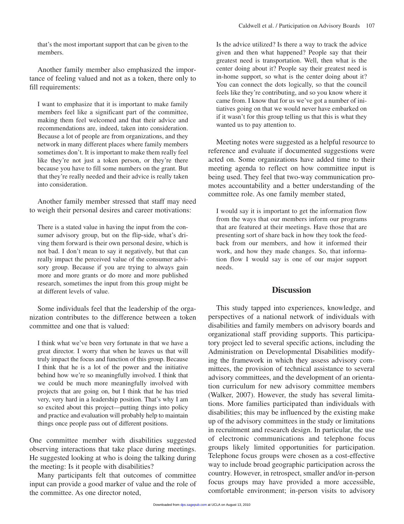that's the most important support that can be given to the members.

Another family member also emphasized the importance of feeling valued and not as a token, there only to fill requirements:

I want to emphasize that it is important to make family members feel like a significant part of the committee, making them feel welcomed and that their advice and recommendations are, indeed, taken into consideration. Because a lot of people are from organizations, and they network in many different places where family members sometimes don't. It is important to make them really feel like they're not just a token person, or they're there because you have to fill some numbers on the grant. But that they're really needed and their advice is really taken into consideration.

Another family member stressed that staff may need to weigh their personal desires and career motivations:

There is a stated value in having the input from the consumer advisory group, but on the flip-side, what's driving them forward is their own personal desire, which is not bad. I don't mean to say it negatively, but that can really impact the perceived value of the consumer advisory group. Because if you are trying to always gain more and more grants or do more and more published research, sometimes the input from this group might be at different levels of value.

Some individuals feel that the leadership of the organization contributes to the difference between a token committee and one that is valued:

I think what we've been very fortunate in that we have a great director. I worry that when he leaves us that will truly impact the focus and function of this group. Because I think that he is a lot of the power and the initiative behind how we're so meaningfully involved. I think that we could be much more meaningfully involved with projects that are going on, but I think that he has tried very, very hard in a leadership position. That's why I am so excited about this project—putting things into policy and practice and evaluation will probably help to maintain things once people pass out of different positions.

One committee member with disabilities suggested observing interactions that take place during meetings. He suggested looking at who is doing the talking during the meeting: Is it people with disabilities?

Many participants felt that outcomes of committee input can provide a good marker of value and the role of the committee. As one director noted,

Is the advice utilized? Is there a way to track the advice given and then what happened? People say that their greatest need is transportation. Well, then what is the center doing about it? People say their greatest need is in-home support, so what is the center doing about it? You can connect the dots logically, so that the council feels like they're contributing, and so you know where it came from. I know that for us we've got a number of initiatives going on that we would never have embarked on if it wasn't for this group telling us that this is what they wanted us to pay attention to.

Meeting notes were suggested as a helpful resource to reference and evaluate if documented suggestions were acted on. Some organizations have added time to their meeting agenda to reflect on how committee input is being used. They feel that two-way communication promotes accountability and a better understanding of the committee role. As one family member stated,

I would say it is important to get the information flow from the ways that our members inform our programs that are featured at their meetings. Have those that are presenting sort of share back in how they took the feedback from our members, and how it informed their work, and how they made changes. So, that information flow I would say is one of our major support needs.

#### **Discussion**

This study tapped into experiences, knowledge, and perspectives of a national network of individuals with disabilities and family members on advisory boards and organizational staff providing supports. This participatory project led to several specific actions, including the Administration on Developmental Disabilities modifying the framework in which they assess advisory committees, the provision of technical assistance to several advisory committees, and the development of an orientation curriculum for new advisory committee members (Walker, 2007). However, the study has several limitations. More families participated than individuals with disabilities; this may be influenced by the existing make up of the advisory committees in the study or limitations in recruitment and research design. In particular, the use of electronic communications and telephone focus groups likely limited opportunities for participation. Telephone focus groups were chosen as a cost-effective way to include broad geographic participation across the country. However, in retrospect, smaller and/or in-person focus groups may have provided a more accessible, comfortable environment; in-person visits to advisory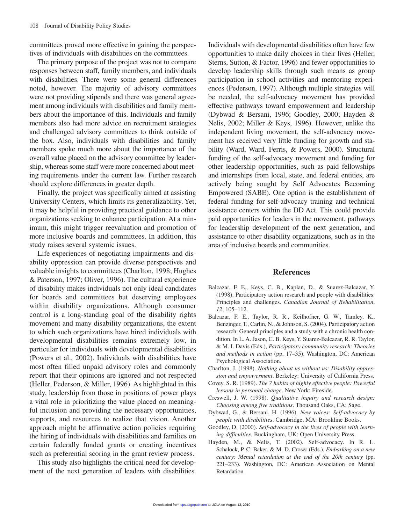committees proved more effective in gaining the perspectives of individuals with disabilities on the committees.

The primary purpose of the project was not to compare responses between staff, family members, and individuals with disabilities. There were some general differences noted, however. The majority of advisory committees were not providing stipends and there was general agreement among individuals with disabilities and family members about the importance of this. Individuals and family members also had more advice on recruitment strategies and challenged advisory committees to think outside of the box. Also, individuals with disabilities and family members spoke much more about the importance of the overall value placed on the advisory committee by leadership, whereas some staff were more concerned about meeting requirements under the current law. Further research should explore differences in greater depth.

Finally, the project was specifically aimed at assisting University Centers, which limits its generalizability. Yet, it may be helpful in providing practical guidance to other organizations seeking to enhance participation. At a minimum, this might trigger reevaluation and promotion of more inclusive boards and committees. In addition, this study raises several systemic issues.

Life experiences of negotiating impairments and disability oppression can provide diverse perspectives and valuable insights to committees (Charlton, 1998; Hughes & Paterson, 1997; Oliver, 1996). The cultural experience of disability makes individuals not only ideal candidates for boards and committees but deserving employees within disability organizations. Although consumer control is a long-standing goal of the disability rights movement and many disability organizations, the extent to which such organizations have hired individuals with developmental disabilities remains extremely low, in particular for individuals with developmental disabilities (Powers et al., 2002). Individuals with disabilities have most often filled unpaid advisory roles and commonly report that their opinions are ignored and not respected (Heller, Pederson, & Miller, 1996). As highlighted in this study, leadership from those in positions of power plays a vital role in prioritizing the value placed on meaningful inclusion and providing the necessary opportunities, supports, and resources to realize that vision. Another approach might be affirmative action policies requiring the hiring of individuals with disabilities and families on certain federally funded grants or creating incentives such as preferential scoring in the grant review process.

This study also highlights the critical need for development of the next generation of leaders with disabilities. Individuals with developmental disabilities often have few opportunities to make daily choices in their lives (Heller, Sterns, Sutton, & Factor, 1996) and fewer opportunities to develop leadership skills through such means as group participation in school activities and mentoring experiences (Pederson, 1997). Although multiple strategies will be needed, the self-advocacy movement has provided effective pathways toward empowerment and leadership (Dybwad & Bersani, 1996; Goodley, 2000; Hayden & Nelis, 2002; Miller & Keys, 1996). However, unlike the independent living movement, the self-advocacy movement has received very little funding for growth and stability (Ward, Ward, Ferris, & Powers, 2000). Structural funding of the self-advocacy movement and funding for other leadership opportunities, such as paid fellowships and internships from local, state, and federal entities, are actively being sought by Self Advocates Becoming Empowered (SABE). One option is the establishment of federal funding for self-advocacy training and technical assistance centers within the DD Act. This could provide paid opportunities for leaders in the movement, pathways for leadership development of the next generation, and assistance to other disability organizations, such as in the area of inclusive boards and communities.

#### **References**

- Balcazar, F. E., Keys, C. B., Kaplan, D., & Suarez-Balcazar, Y. (1998). Participatory action research and people with disabilities: Principles and challenges. *Canadian Journal of Rehabilitation*, *12*, 105–112.
- Balcazar, F. E., Taylor, R. R., Keilhofner, G. W., Tamley, K., Benzinger, T., Carlin, N., & Johnson, S. (2004). Participatory action research: General principles and a study with a chronic health condition. In L. A. Jason, C. B. Keys, Y. Suarez-Balcazar, R. R. Taylor, & M. I. Davis (Eds.), *Participatory community research: Theories and methods in action* (pp. 17–35). Washington, DC: American Psychological Association.
- Charlton, J. (1998). *Nothing about us without us: Disability oppression and empowerment*. Berkeley: University of California Press.
- Covey, S. R. (1989). *The 7 habits of highly effective people: Powerful lessons in personal change*. New York: Fireside.
- Creswell, J. W. (1998). *Qualitative inquiry and research design: Choosing among five traditions*. Thousand Oaks, CA: Sage.
- Dybwad, G., & Bersani, H. (1996). *New voices: Self-advocacy by people with disabilities*. Cambridge, MA: Brookline Books.
- Goodley, D. (2000). *Self-advocacy in the lives of people with learning difficulties*. Buckingham, UK: Open University Press.
- Hayden, M., & Nelis, T. (2002). Self-advocacy. In R. L. Schalock, P. C. Baker, & M. D. Croser (Eds.), *Embarking on a new century: Mental retardation at the end of the 20th century* (pp. 221–233). Washington, DC: American Association on Mental Retardation.